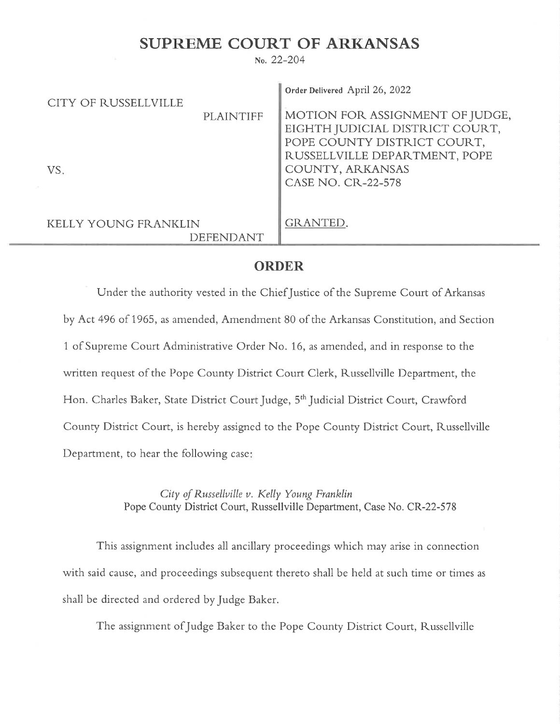## SUPREME COURT OF ARKANSAS

no.22-204

| CITY OF RUSSELLVILLE                            |                  | Order Delivered April 26, 2022                                                                    |
|-------------------------------------------------|------------------|---------------------------------------------------------------------------------------------------|
|                                                 | <b>PLAINTIFF</b> | MOTION FOR ASSIGNMENT OF JUDGE,<br>EIGHTH JUDICIAL DISTRICT COURT,<br>POPE COUNTY DISTRICT COURT, |
| VS.                                             |                  | RUSSELLVILLE DEPARTMENT, POPE<br>COUNTY, ARKANSAS                                                 |
|                                                 |                  | CASE NO. CR-22-578                                                                                |
| <b>KELLY YOUNG FRANKLIN</b><br><b>DEFENDANT</b> |                  | GRANTED.                                                                                          |

## ORDER

Under the authority vested in the Chief Justice of the Supreme Court of Arkansas by Act 496 of 1965, as amended, Amendment 80 of the Arkansas Constitution, and Section 1 of Supreme Court Administrative Order No. 16, as amended, and in response to the written request of the Pope County District Court Clerk, Russellville Department, the Hon. Charles Baker, State District Court Judge, 5<sup>th</sup> Judicial District Court, Crawford County District Court, is hereby assigned to the Pope County District Court, Russellville Department, to hear the following case:

> City of Russellville v. Kelly Young Franklin Pope County District Court, Russellville Department, Case No. CR-22-578

This assignment includes all ancillary proceedings which may arise in connection with said cause, and proceedings subsequent thereto shall be held at such time or times as shall be directed and ordered by Judge Baker.

The assignment ofJudge Baker to the Pope County District Court, Russellville